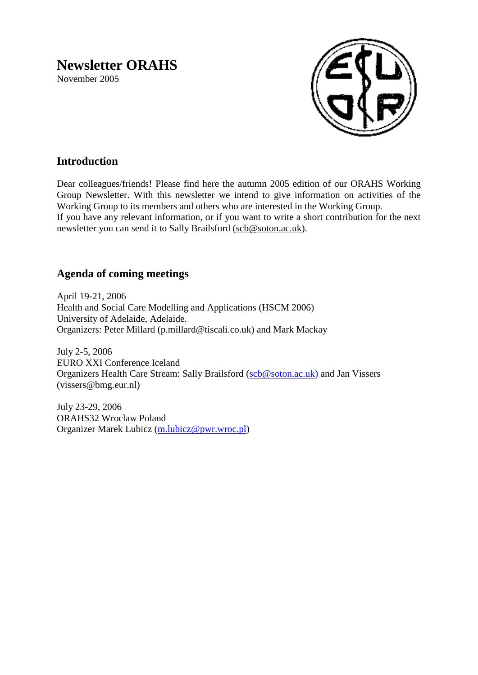# **Newsletter ORAHS**

November 2005



# **Introduction**

Dear colleagues/friends! Please find here the autumn 2005 edition of our ORAHS Working Group Newsletter. With this newsletter we intend to give information on activities of the Working Group to its members and others who are interested in the Working Group. If you have any relevant information, or if you want to write a short contribution for the next newsletter you can send it to Sally Brailsford [\(scb@soton.ac.uk\)](mailto:scb@soton.ac.uk).

# **Agenda of coming meetings**

April 19-21, 2006 Health and Social Care Modelling and Applications (HSCM 2006) University of Adelaide, Adelaide. Organizers: Peter Millard (p.millard@tiscali.co.uk) and Mark Mackay

July 2-5, 2006 EURO XXI Conference Iceland Organizers Health Care Stream: Sally Brailsford [\(scb@soton.ac.uk\)](mailto:scb@soton.ac.uk) and Jan Vissers (vissers@bmg.eur.nl)

July 23-29, 2006 ORAHS32 Wroclaw Poland Organizer Marek Lubicz [\(m.lubicz@pwr.wroc.pl\)](mailto:m.lubicz@pwr.wroc.pl)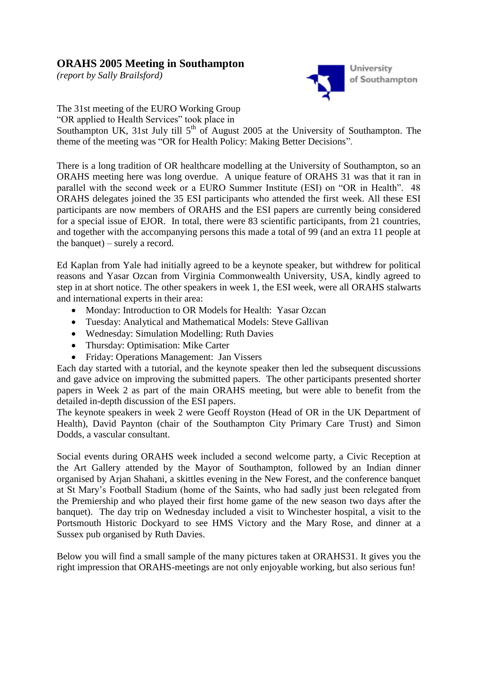## **ORAHS 2005 Meeting in Southampton**

*(report by Sally Brailsford)*



The 31st meeting of the EURO Working Group

"OR applied to Health Services" took place in

Southampton UK, 31st July till  $5<sup>th</sup>$  of August 2005 at the University of Southampton. The theme of the meeting was "OR for Health Policy: Making Better Decisions".

There is a long tradition of OR healthcare modelling at the University of Southampton, so an ORAHS meeting here was long overdue. A unique feature of ORAHS 31 was that it ran in parallel with the second week or a EURO Summer Institute (ESI) on "OR in Health". 48 ORAHS delegates joined the 35 ESI participants who attended the first week. All these ESI participants are now members of ORAHS and the ESI papers are currently being considered for a special issue of EJOR. In total, there were 83 scientific participants, from 21 countries, and together with the accompanying persons this made a total of 99 (and an extra 11 people at the banquet) – surely a record.

Ed Kaplan from Yale had initially agreed to be a keynote speaker, but withdrew for political reasons and Yasar Ozcan from Virginia Commonwealth University, USA, kindly agreed to step in at short notice. The other speakers in week 1, the ESI week, were all ORAHS stalwarts and international experts in their area:

- Monday: Introduction to OR Models for Health: Yasar Ozcan
- Tuesday: Analytical and Mathematical Models: Steve Gallivan
- Wednesday: Simulation Modelling: Ruth Davies
- Thursday: Optimisation: Mike Carter
- Friday: Operations Management: Jan Vissers

Each day started with a tutorial, and the keynote speaker then led the subsequent discussions and gave advice on improving the submitted papers. The other participants presented shorter papers in Week 2 as part of the main ORAHS meeting, but were able to benefit from the detailed in-depth discussion of the ESI papers.

The keynote speakers in week 2 were Geoff Royston (Head of OR in the UK Department of Health), David Paynton (chair of the Southampton City Primary Care Trust) and Simon Dodds, a vascular consultant.

Social events during ORAHS week included a second welcome party, a Civic Reception at the Art Gallery attended by the Mayor of Southampton, followed by an Indian dinner organised by Arjan Shahani, a skittles evening in the New Forest, and the conference banquet at St Mary"s Football Stadium (home of the Saints, who had sadly just been relegated from the Premiership and who played their first home game of the new season two days after the banquet). The day trip on Wednesday included a visit to Winchester hospital, a visit to the Portsmouth Historic Dockyard to see HMS Victory and the Mary Rose, and dinner at a Sussex pub organised by Ruth Davies.

Below you will find a small sample of the many pictures taken at ORAHS31. It gives you the right impression that ORAHS-meetings are not only enjoyable working, but also serious fun!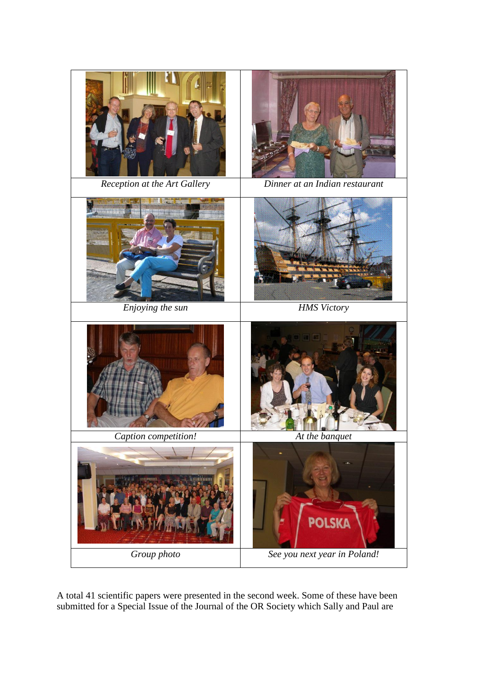

A total 41 scientific papers were presented in the second week. Some of these have been submitted for a Special Issue of the Journal of the OR Society which Sally and Paul are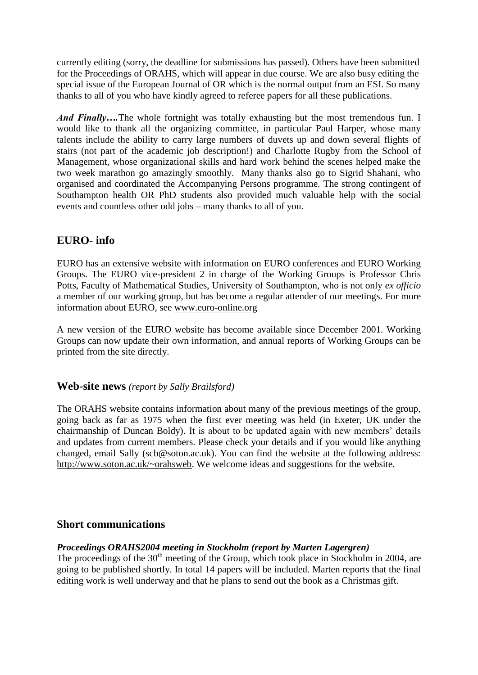currently editing (sorry, the deadline for submissions has passed). Others have been submitted for the Proceedings of ORAHS, which will appear in due course. We are also busy editing the special issue of the European Journal of OR which is the normal output from an ESI. So many thanks to all of you who have kindly agreed to referee papers for all these publications.

*And Finally*....The whole fortnight was totally exhausting but the most tremendous fun. I would like to thank all the organizing committee, in particular Paul Harper, whose many talents include the ability to carry large numbers of duvets up and down several flights of stairs (not part of the academic job description!) and Charlotte Rugby from the School of Management, whose organizational skills and hard work behind the scenes helped make the two week marathon go amazingly smoothly. Many thanks also go to Sigrid Shahani, who organised and coordinated the Accompanying Persons programme. The strong contingent of Southampton health OR PhD students also provided much valuable help with the social events and countless other odd jobs – many thanks to all of you.

# **EURO- info**

EURO has an extensive website with information on EURO conferences and EURO Working Groups. The EURO vice-president 2 in charge of the Working Groups is Professor Chris Potts, Faculty of Mathematical Studies, University of Southampton, who is not only *ex officio* a member of our working group, but has become a regular attender of our meetings. For more information about EURO, see [www.euro-online.org](http://www.euro-online.org/)

A new version of the EURO website has become available since December 2001. Working Groups can now update their own information, and annual reports of Working Groups can be printed from the site directly.

## **Web-site news** *(report by Sally Brailsford)*

The ORAHS website contains information about many of the previous meetings of the group, going back as far as 1975 when the first ever meeting was held (in Exeter, UK under the chairmanship of Duncan Boldy). It is about to be updated again with new members" details and updates from current members. Please check your details and if you would like anything changed, email Sally (scb@soton.ac.uk). You can find the website at the following address: [http://www.soton.ac.uk/~orahsweb.](http://www.soton.ac.uk/~orahsweb) We welcome ideas and suggestions for the website.

## **Short communications**

#### *Proceedings ORAHS2004 meeting in Stockholm (report by Marten Lagergren)*

The proceedings of the 30<sup>th</sup> meeting of the Group, which took place in Stockholm in 2004, are going to be published shortly. In total 14 papers will be included. Marten reports that the final editing work is well underway and that he plans to send out the book as a Christmas gift.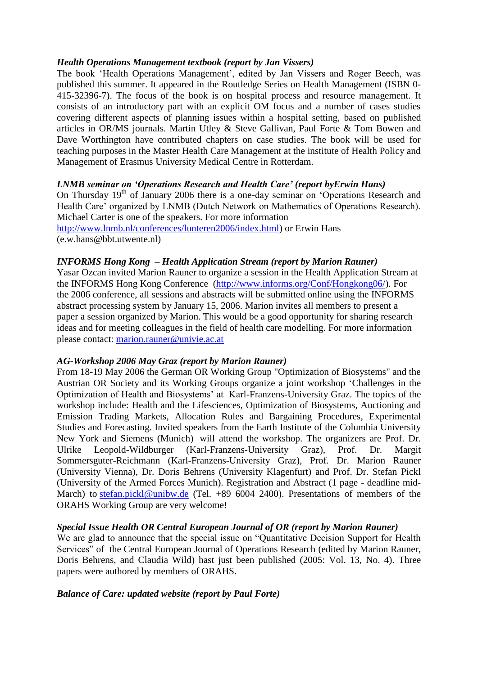#### *Health Operations Management textbook (report by Jan Vissers)*

The book 'Health Operations Management', edited by Jan Vissers and Roger Beech, was published this summer. It appeared in the Routledge Series on Health Management (ISBN 0- 415-32396-7). The focus of the book is on hospital process and resource management. It consists of an introductory part with an explicit OM focus and a number of cases studies covering different aspects of planning issues within a hospital setting, based on published articles in OR/MS journals. Martin Utley & Steve Gallivan, Paul Forte & Tom Bowen and Dave Worthington have contributed chapters on case studies. The book will be used for teaching purposes in the Master Health Care Management at the institute of Health Policy and Management of Erasmus University Medical Centre in Rotterdam.

#### *LNMB seminar on 'Operations Research and Health Care' (report byErwin Hans)*

On Thursday 19<sup>th</sup> of January 2006 there is a one-day seminar on 'Operations Research and Health Care" organized by LNMB (Dutch Network on Mathematics of Operations Research). Michael Carter is one of the speakers. For more information [http://www.lnmb.nl/conferences/lunteren2006/index.html\)](http://www.lnmb.nl/conferences/lunteren2006/index.html) or Erwin Hans (e.w.hans@bbt.utwente.nl)

#### *INFORMS Hong Kong – Health Application Stream (report by Marion Rauner)*

Yasar Ozcan invited Marion Rauner to organize a session in the Health Application Stream at the INFORMS Hong Kong Conference [\(http://www.informs.org/Conf/Hongkong06/\)](http://www.informs.org/Conf/Hongkong06/). For the 2006 conference, all sessions and abstracts will be submitted online using the INFORMS abstract processing system by January 15, 2006. Marion invites all members to present a paper a session organized by Marion. This would be a good opportunity for sharing research ideas and for meeting colleagues in the field of health care modelling. For more information please contact: [marion.rauner@univie.ac.at](mailto:marion.rauner@univie.ac.at)

#### *AG-Workshop 2006 May Graz (report by Marion Rauner)*

From 18-19 May 2006 the German OR Working Group "Optimization of Biosystems" and the Austrian OR Society and its Working Groups organize a joint workshop "Challenges in the Optimization of Health and Biosystems" at Karl-Franzens-University Graz. The topics of the workshop include: Health and the Lifesciences, Optimization of Biosystems, Auctioning and Emission Trading Markets, Allocation Rules and Bargaining Procedures, Experimental Studies and Forecasting. Invited speakers from the Earth Institute of the Columbia University New York and Siemens (Munich) will attend the workshop. The organizers are Prof. Dr. Ulrike Leopold-Wildburger (Karl-Franzens-University Graz), Prof. Dr. Margit Sommersguter-Reichmann (Karl-Franzens-University Graz), Prof. Dr. Marion Rauner (University Vienna), Dr. Doris Behrens (University Klagenfurt) and Prof. Dr. Stefan Pickl (University of the Armed Forces Munich). Registration and Abstract (1 page - deadline midMarch) to [stefan.pickl@unibw.de](mailto:stefan.pickl@unibw.de) (Tel. +89 6004 2400). Presentations of members of the ORAHS Working Group are very welcome!

#### *Special Issue Health OR Central European Journal of OR (report by Marion Rauner)*

We are glad to announce that the special issue on "Quantitative Decision Support for Health Services" of the Central European Journal of Operations Research (edited by Marion Rauner, Doris Behrens, and Claudia Wild) hast just been published (2005: Vol. 13, No. 4). Three papers were authored by members of ORAHS.

#### *Balance of Care: updated website (report by Paul Forte)*